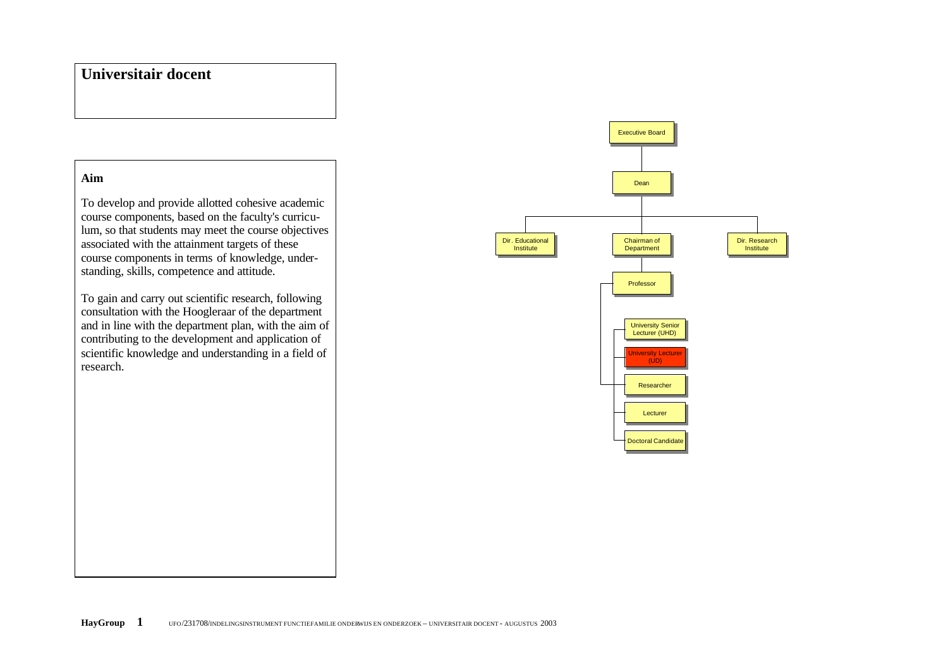## **Universitair docent**

## **Aim**

To develop and provide allotted cohesive academic course components, based on the faculty's curriculum, so that students may meet the course objectives associated with the attainment targets of these course components in terms of knowledge, understanding, skills, competence and attitude.

To gain and carry out scientific research, following consultation with the Hoogleraar of the department and in line with the department plan, with the aim of contributing to the development and application of scientific knowledge and understanding in a field of research.

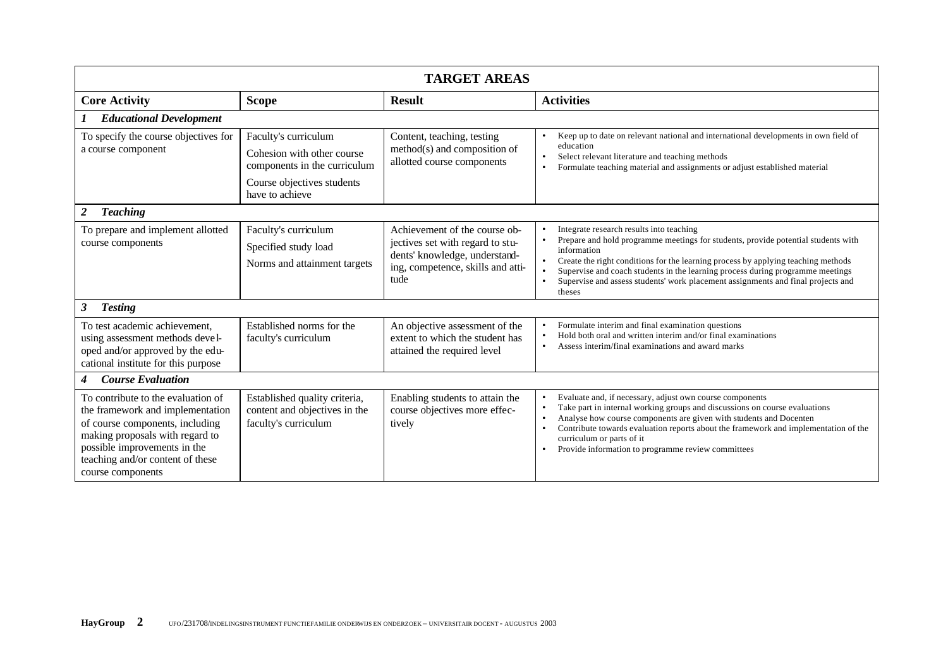| <b>TARGET AREAS</b>                                                                                                                                                                                                                   |                                                                                                                                     |                                                                                                                                                 |                                                                                                                                                                                                                                                                                                                                                                                                                                             |  |  |  |
|---------------------------------------------------------------------------------------------------------------------------------------------------------------------------------------------------------------------------------------|-------------------------------------------------------------------------------------------------------------------------------------|-------------------------------------------------------------------------------------------------------------------------------------------------|---------------------------------------------------------------------------------------------------------------------------------------------------------------------------------------------------------------------------------------------------------------------------------------------------------------------------------------------------------------------------------------------------------------------------------------------|--|--|--|
| <b>Core Activity</b>                                                                                                                                                                                                                  | <b>Scope</b>                                                                                                                        | <b>Result</b>                                                                                                                                   | <b>Activities</b>                                                                                                                                                                                                                                                                                                                                                                                                                           |  |  |  |
| <b>Educational Development</b>                                                                                                                                                                                                        |                                                                                                                                     |                                                                                                                                                 |                                                                                                                                                                                                                                                                                                                                                                                                                                             |  |  |  |
| To specify the course objectives for<br>a course component                                                                                                                                                                            | Faculty's curriculum<br>Cohesion with other course<br>components in the curriculum<br>Course objectives students<br>have to achieve | Content, teaching, testing<br>method(s) and composition of<br>allotted course components                                                        | Keep up to date on relevant national and international developments in own field of<br>$\bullet$<br>education<br>Select relevant literature and teaching methods<br>$\bullet$<br>Formulate teaching material and assignments or adjust established material<br>$\bullet$                                                                                                                                                                    |  |  |  |
| <b>Teaching</b><br>2                                                                                                                                                                                                                  |                                                                                                                                     |                                                                                                                                                 |                                                                                                                                                                                                                                                                                                                                                                                                                                             |  |  |  |
| To prepare and implement allotted<br>course components                                                                                                                                                                                | Faculty's curriculum<br>Specified study load<br>Norms and attainment targets                                                        | Achievement of the course ob-<br>jectives set with regard to stu-<br>dents' knowledge, understand-<br>ing, competence, skills and atti-<br>tude | Integrate research results into teaching<br>Prepare and hold programme meetings for students, provide potential students with<br>$\bullet$<br>information<br>Create the right conditions for the learning process by applying teaching methods<br>Supervise and coach students in the learning process during programme meetings<br>Supervise and assess students' work placement assignments and final projects and<br>$\bullet$<br>theses |  |  |  |
| 3<br><b>Testing</b>                                                                                                                                                                                                                   |                                                                                                                                     |                                                                                                                                                 |                                                                                                                                                                                                                                                                                                                                                                                                                                             |  |  |  |
| To test academic achievement,<br>using assessment methods devel-<br>oped and/or approved by the edu-<br>cational institute for this purpose                                                                                           | Established norms for the<br>faculty's curriculum                                                                                   | An objective assessment of the<br>extent to which the student has<br>attained the required level                                                | Formulate interim and final examination questions<br>Hold both oral and written interim and/or final examinations<br>$\bullet$<br>Assess interim/final examinations and award marks<br>$\bullet$                                                                                                                                                                                                                                            |  |  |  |
| <b>Course Evaluation</b><br>4                                                                                                                                                                                                         |                                                                                                                                     |                                                                                                                                                 |                                                                                                                                                                                                                                                                                                                                                                                                                                             |  |  |  |
| To contribute to the evaluation of<br>the framework and implementation<br>of course components, including<br>making proposals with regard to<br>possible improvements in the<br>teaching and/or content of these<br>course components | Established quality criteria,<br>content and objectives in the<br>faculty's curriculum                                              | Enabling students to attain the<br>course objectives more effec-<br>tively                                                                      | Evaluate and, if necessary, adjust own course components<br>Take part in internal working groups and discussions on course evaluations<br>$\bullet$<br>Analyse how course components are given with students and Docenten<br>$\bullet$<br>Contribute towards evaluation reports about the framework and implementation of the<br>$\bullet$<br>curriculum or parts of it<br>Provide information to programme review committees<br>$\bullet$  |  |  |  |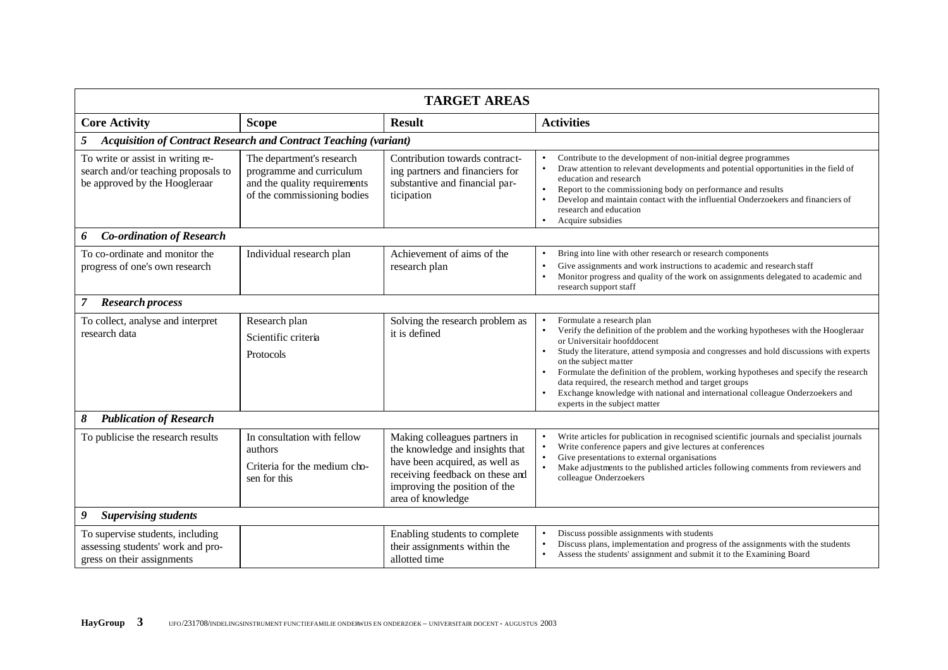| <b>TARGET AREAS</b>                                                                                       |                                                                                                                      |                                                                                                                                                                                             |                                                                                                                                                                                                                                                                                                                                                                                                                                                                                                                                      |  |  |
|-----------------------------------------------------------------------------------------------------------|----------------------------------------------------------------------------------------------------------------------|---------------------------------------------------------------------------------------------------------------------------------------------------------------------------------------------|--------------------------------------------------------------------------------------------------------------------------------------------------------------------------------------------------------------------------------------------------------------------------------------------------------------------------------------------------------------------------------------------------------------------------------------------------------------------------------------------------------------------------------------|--|--|
| <b>Core Activity</b>                                                                                      | <b>Scope</b>                                                                                                         | <b>Result</b>                                                                                                                                                                               | <b>Activities</b>                                                                                                                                                                                                                                                                                                                                                                                                                                                                                                                    |  |  |
| 5                                                                                                         | <b>Acquisition of Contract Research and Contract Teaching (variant)</b>                                              |                                                                                                                                                                                             |                                                                                                                                                                                                                                                                                                                                                                                                                                                                                                                                      |  |  |
| To write or assist in writing re-<br>search and/or teaching proposals to<br>be approved by the Hoogleraar | The department's research<br>programme and curriculum<br>and the quality requirements<br>of the commissioning bodies | Contribution towards contract-<br>ing partners and financiers for<br>substantive and financial par-<br>ticipation                                                                           | Contribute to the development of non-initial degree programmes<br>Draw attention to relevant developments and potential opportunities in the field of<br>education and research<br>Report to the commissioning body on performance and results<br>Develop and maintain contact with the influential Onderzoekers and financiers of<br>$\bullet$<br>research and education<br>Acquire subsidies                                                                                                                                       |  |  |
| <b>Co-ordination of Research</b><br>6                                                                     |                                                                                                                      |                                                                                                                                                                                             |                                                                                                                                                                                                                                                                                                                                                                                                                                                                                                                                      |  |  |
| To co-ordinate and monitor the<br>progress of one's own research                                          | Individual research plan                                                                                             | Achievement of aims of the<br>research plan                                                                                                                                                 | Bring into line with other research or research components<br>Give assignments and work instructions to academic and research staff<br>Monitor progress and quality of the work on assignments delegated to academic and<br>research support staff                                                                                                                                                                                                                                                                                   |  |  |
| <b>Research process</b><br>$\mathcal{I}$                                                                  |                                                                                                                      |                                                                                                                                                                                             |                                                                                                                                                                                                                                                                                                                                                                                                                                                                                                                                      |  |  |
| To collect, analyse and interpret<br>research data                                                        | Research plan<br>Scientific criteria<br>Protocols                                                                    | Solving the research problem as<br>it is defined                                                                                                                                            | Formulate a research plan<br>Verify the definition of the problem and the working hypotheses with the Hoogleraar<br>or Universitair hoofddocent<br>Study the literature, attend symposia and congresses and hold discussions with experts<br>on the subject matter<br>Formulate the definition of the problem, working hypotheses and specify the research<br>data required, the research method and target groups<br>Exchange knowledge with national and international colleague Onderzoekers and<br>experts in the subject matter |  |  |
| <b>Publication of Research</b><br>8                                                                       |                                                                                                                      |                                                                                                                                                                                             |                                                                                                                                                                                                                                                                                                                                                                                                                                                                                                                                      |  |  |
| To publicise the research results                                                                         | In consultation with fellow<br>authors<br>Criteria for the medium cho-<br>sen for this                               | Making colleagues partners in<br>the knowledge and insights that<br>have been acquired, as well as<br>receiving feedback on these and<br>improving the position of the<br>area of knowledge | Write articles for publication in recognised scientific journals and specialist journals<br>Write conference papers and give lectures at conferences<br>Give presentations to external organisations<br>Make adjustments to the published articles following comments from reviewers and<br>colleague Onderzoekers                                                                                                                                                                                                                   |  |  |
| 9<br><b>Supervising students</b>                                                                          |                                                                                                                      |                                                                                                                                                                                             |                                                                                                                                                                                                                                                                                                                                                                                                                                                                                                                                      |  |  |
| To supervise students, including<br>assessing students' work and pro-<br>gress on their assignments       |                                                                                                                      | Enabling students to complete<br>their assignments within the<br>allotted time                                                                                                              | Discuss possible assignments with students<br>Discuss plans, implementation and progress of the assignments with the students<br>Assess the students' assignment and submit it to the Examining Board                                                                                                                                                                                                                                                                                                                                |  |  |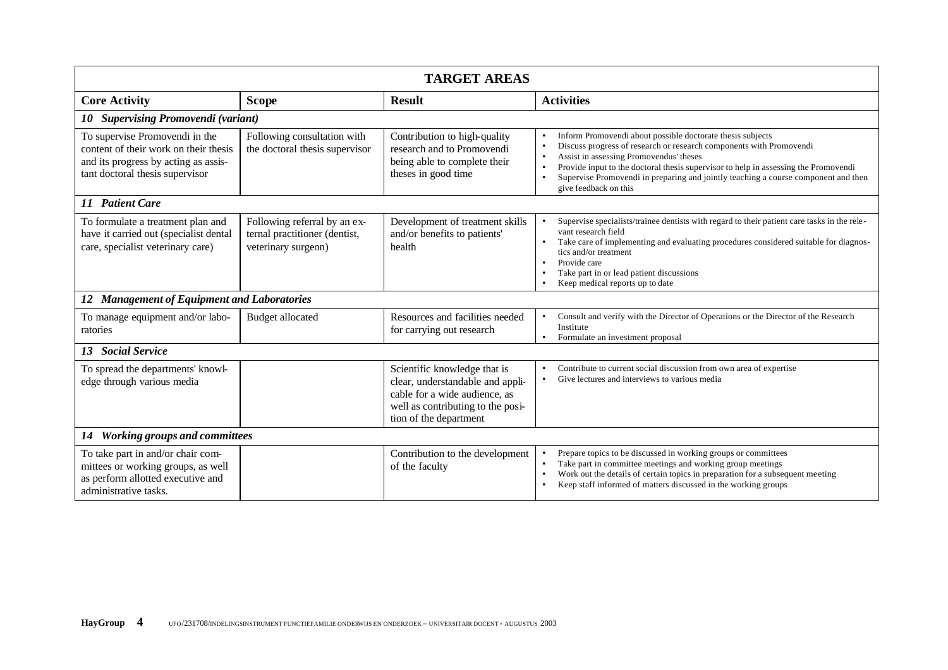| <b>TARGET AREAS</b>                                                                                                                                |                                                                                      |                                                                                                                                                                  |                                                                                                                                                                                                                                                                                                                                                                                    |  |  |  |
|----------------------------------------------------------------------------------------------------------------------------------------------------|--------------------------------------------------------------------------------------|------------------------------------------------------------------------------------------------------------------------------------------------------------------|------------------------------------------------------------------------------------------------------------------------------------------------------------------------------------------------------------------------------------------------------------------------------------------------------------------------------------------------------------------------------------|--|--|--|
| <b>Core Activity</b>                                                                                                                               | <b>Scope</b>                                                                         | <b>Result</b>                                                                                                                                                    | <b>Activities</b>                                                                                                                                                                                                                                                                                                                                                                  |  |  |  |
| 10 Supervising Promovendi (variant)                                                                                                                |                                                                                      |                                                                                                                                                                  |                                                                                                                                                                                                                                                                                                                                                                                    |  |  |  |
| To supervise Promovendi in the<br>content of their work on their thesis<br>and its progress by acting as assis-<br>tant doctoral thesis supervisor | Following consultation with<br>the doctoral thesis supervisor                        | Contribution to high-quality<br>research and to Promovendi<br>being able to complete their<br>theses in good time                                                | Inform Promovendi about possible doctorate thesis subjects<br>Discuss progress of research or research components with Promovendi<br>Assist in assessing Promovendus' theses<br>Provide input to the doctoral thesis supervisor to help in assessing the Promovendi<br>Supervise Promovendi in preparing and jointly teaching a course component and then<br>give feedback on this |  |  |  |
| 11 Patient Care                                                                                                                                    |                                                                                      |                                                                                                                                                                  |                                                                                                                                                                                                                                                                                                                                                                                    |  |  |  |
| To formulate a treatment plan and<br>have it carried out (specialist dental<br>care, specialist veterinary care)                                   | Following referral by an ex-<br>ternal practitioner (dentist,<br>veterinary surgeon) | Development of treatment skills<br>and/or benefits to patients'<br>health                                                                                        | Supervise specialists/trainee dentists with regard to their patient care tasks in the rele-<br>vant research field<br>Take care of implementing and evaluating procedures considered suitable for diagnos-<br>tics and/or treatment<br>Provide care<br>$\bullet$<br>Take part in or lead patient discussions<br>Keep medical reports up to date                                    |  |  |  |
| <b>Management of Equipment and Laboratories</b><br>12                                                                                              |                                                                                      |                                                                                                                                                                  |                                                                                                                                                                                                                                                                                                                                                                                    |  |  |  |
| To manage equipment and/or labo-<br>ratories                                                                                                       | <b>Budget allocated</b>                                                              | Resources and facilities needed<br>for carrying out research                                                                                                     | Consult and verify with the Director of Operations or the Director of the Research<br>Institute<br>Formulate an investment proposal<br>$\bullet$                                                                                                                                                                                                                                   |  |  |  |
| 13 Social Service                                                                                                                                  |                                                                                      |                                                                                                                                                                  |                                                                                                                                                                                                                                                                                                                                                                                    |  |  |  |
| To spread the departments' knowl-<br>edge through various media                                                                                    |                                                                                      | Scientific knowledge that is<br>clear, understandable and appli-<br>cable for a wide audience, as<br>well as contributing to the posi-<br>tion of the department | Contribute to current social discussion from own area of expertise<br>Give lectures and interviews to various media                                                                                                                                                                                                                                                                |  |  |  |
| 14 Working groups and committees                                                                                                                   |                                                                                      |                                                                                                                                                                  |                                                                                                                                                                                                                                                                                                                                                                                    |  |  |  |
| To take part in and/or chair com-<br>mittees or working groups, as well<br>as perform allotted executive and<br>administrative tasks.              |                                                                                      | Contribution to the development<br>of the faculty                                                                                                                | Prepare topics to be discussed in working groups or committees<br>Take part in committee meetings and working group meetings<br>Work out the details of certain topics in preparation for a subsequent meeting<br>Keep staff informed of matters discussed in the working groups                                                                                                   |  |  |  |